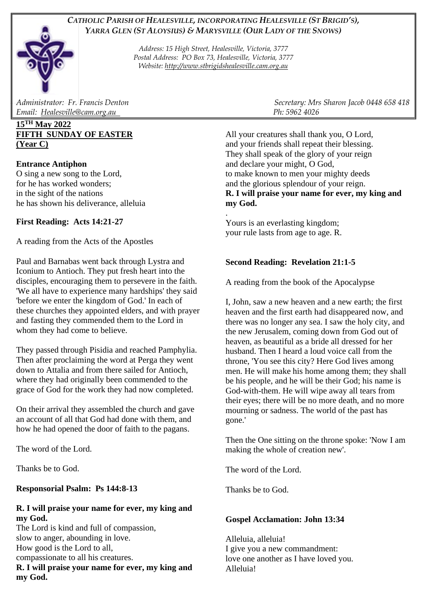# *CATHOLIC PARISH OF HEALESVILLE, INCORPORATING HEALESVILLE (ST BRIGID'S), YARRA GLEN (ST ALOYSIUS) & MARYSVILLE (OUR LADY OF THE SNOWS)*

*Address: 15 High Street, Healesville, Victoria, 3777 Postal Address: PO Box 73, Healesville, Victoria, 3777 Website: [http://www.stbrigidshealesville.cam.org.au](http://www.stbrigidshealesville.cam.org.au/)*

*Email: [Healesville@cam.org.au](mailto:Healesville@cam.org.au) Ph: 5962 4026* 

## **15TH May 2022 FIFTH SUNDAY OF EASTER (Year C)**

## **Entrance Antiphon**

O sing a new song to the Lord, for he has worked wonders; in the sight of the nations he has shown his deliverance, alleluia

# **First Reading: Acts 14:21-27**

A reading from the Acts of the Apostles

Paul and Barnabas went back through Lystra and Iconium to Antioch. They put fresh heart into the disciples, encouraging them to persevere in the faith. 'We all have to experience many hardships' they said 'before we enter the kingdom of God.' In each of these churches they appointed elders, and with prayer and fasting they commended them to the Lord in whom they had come to believe.

They passed through Pisidia and reached Pamphylia. Then after proclaiming the word at Perga they went down to Attalia and from there sailed for Antioch, where they had originally been commended to the grace of God for the work they had now completed.

On their arrival they assembled the church and gave an account of all that God had done with them, and how he had opened the door of faith to the pagans.

The word of the Lord.

Thanks be to God.

## **Responsorial Psalm: Ps 144:8-13**

## **R. I will praise your name for ever, my king and my God.**

The Lord is kind and full of compassion, slow to anger, abounding in love. How good is the Lord to all, compassionate to all his creatures.

**R. I will praise your name for ever, my king and my God.**

*Administrator: Fr. Francis Denton Secretary: Mrs Sharon Jacob 0448 658 418* 

All your creatures shall thank you, O Lord, and your friends shall repeat their blessing. They shall speak of the glory of your reign and declare your might, O God, to make known to men your mighty deeds and the glorious splendour of your reign. **R. I will praise your name for ever, my king and my God.**

. Yours is an everlasting kingdom; your rule lasts from age to age. R.

# **Second Reading: Revelation 21:1-5**

A reading from the book of the Apocalypse

I, John, saw a new heaven and a new earth; the first heaven and the first earth had disappeared now, and there was no longer any sea. I saw the holy city, and the new Jerusalem, coming down from God out of heaven, as beautiful as a bride all dressed for her husband. Then I heard a loud voice call from the throne, 'You see this city? Here God lives among men. He will make his home among them; they shall be his people, and he will be their God; his name is God-with-them. He will wipe away all tears from their eyes; there will be no more death, and no more mourning or sadness. The world of the past has gone.'

Then the One sitting on the throne spoke: 'Now I am making the whole of creation new'.

The word of the Lord.

Thanks be to God.

## **Gospel Acclamation: John 13:34**

Alleluia, alleluia! I give you a new commandment: love one another as I have loved you. Alleluia!

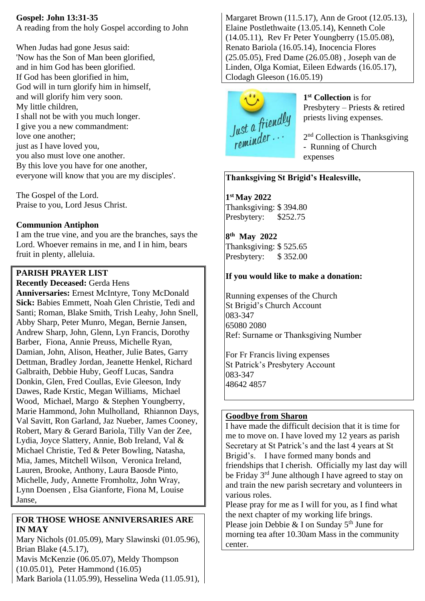## **Gospel: John 13:31-35**

A reading from the holy Gospel according to John

When Judas had gone Jesus said: 'Now has the Son of Man been glorified, and in him God has been glorified. If God has been glorified in him, God will in turn glorify him in himself, and will glorify him very soon. My little children, I shall not be with you much longer. I give you a new commandment: love one another; just as I have loved you, you also must love one another. By this love you have for one another, everyone will know that you are my disciples'.

The Gospel of the Lord. Praise to you, Lord Jesus Christ.

#### **Communion Antiphon**

I am the true vine, and you are the branches, says the Lord. Whoever remains in me, and I in him, bears fruit in plenty, alleluia.

## **PARISH PRAYER LIST**

**Recently Deceased:** Gerda Hens

**Anniversaries:** Ernest McIntyre, Tony McDonald **Sick:** Babies Emmett, Noah Glen Christie, Tedi and Santi; Roman, Blake Smith, Trish Leahy, John Snell, Abby Sharp, Peter Munro, Megan, Bernie Jansen, Andrew Sharp, John, Glenn, Lyn Francis, Dorothy Barber, Fiona, Annie Preuss, Michelle Ryan, Damian, John, Alison, Heather, Julie Bates, Garry Dettman, Bradley Jordan, Jeanette Henkel, Richard Galbraith, Debbie Huby, Geoff Lucas, Sandra Donkin, Glen, Fred Coullas, Evie Gleeson, Indy Dawes, Rade Krstic, Megan Williams, Michael Wood, Michael, Margo & Stephen Youngberry, Marie Hammond, John Mulholland, Rhiannon Days, Val Savitt, Ron Garland, Jaz Nueber, James Cooney, Robert, Mary & Gerard Bariola, Tilly Van der Zee, Lydia, Joyce Slattery, Annie, Bob Ireland, Val & Michael Christie, Ted & Peter Bowling, Natasha, Mia, James, Mitchell Wilson, Veronica Ireland, Lauren, Brooke, Anthony, Laura Baosde Pinto, Michelle, Judy, Annette Fromholtz, John Wray, Lynn Doensen , Elsa Gianforte, Fiona M, Louise Janse,

## **FOR THOSE WHOSE ANNIVERSARIES ARE IN MAY**

Mary Nichols (01.05.09), Mary Slawinski (01.05.96), Brian Blake (4.5.17),

Mavis McKenzie (06.05.07), Meldy Thompson (10.05.01), Peter Hammond (16.05)

Mark Bariola (11.05.99), Hesselina Weda (11.05.91),

Margaret Brown (11.5.17), Ann de Groot (12.05.13), Elaine Postlethwaite (13.05.14), Kenneth Cole (14.05.11), Rev Fr Peter Youngberry (15.05.08), Renato Bariola (16.05.14), Inocencia Flores (25.05.05), Fred Dame (26.05.08) , Joseph van de Linden, Olga Komiat, Eileen Edwards (16.05.17), Clodagh Gleeson (16.05.19)



**1 st Collection** is for Presbytery – Priests & retired priests living expenses.

2<sup>nd</sup> Collection is Thanksgiving - Running of Church expenses

# **Thanksgiving St Brigid's Healesville,**

**1 st May 2022**  Thanksgiving: \$ 394.80 Presbytery: \$252.75

**8 th May 2022**  Thanksgiving: \$ 525.65 Presbytery: \$352.00

# **If you would like to make a donation:**

Running expenses of the Church St Brigid's Church Account 083-347 65080 2080 Ref: Surname or Thanksgiving Number

For Fr Francis living expenses St Patrick's Presbytery Account 083-347 48642 4857

# **Goodbye from Sharon**

I have made the difficult decision that it is time for me to move on. I have loved my 12 years as parish Secretary at St Patrick's and the last 4 years at St Brigid's. I have formed many bonds and friendships that I cherish. Officially my last day will be Friday 3<sup>rd</sup> June although I have agreed to stay on and train the new parish secretary and volunteers in various roles.

Please pray for me as I will for you, as I find what the next chapter of my working life brings. Please join Debbie & I on Sunday  $5<sup>th</sup>$  June for morning tea after 10.30am Mass in the community center.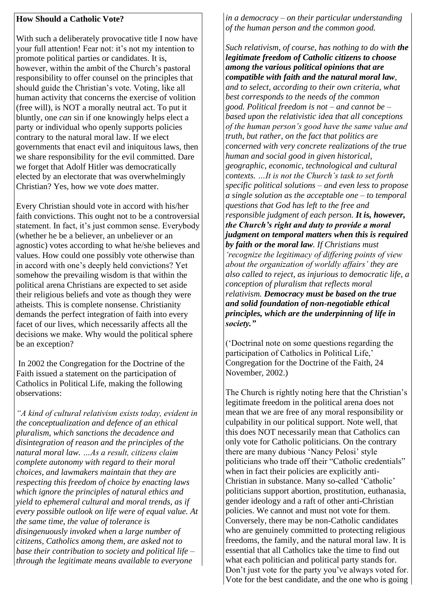#### **How Should a Catholic Vote?**

With such a deliberately provocative title I now have your full attention! Fear not: it's not my intention to promote political parties or candidates. It is, however, within the ambit of the Church's pastoral responsibility to offer counsel on the principles that should guide the Christian's vote. Voting, like all human activity that concerns the exercise of volition (free will), is NOT a morally neutral act. To put it bluntly, one *can* sin if one knowingly helps elect a party or individual who openly supports policies contrary to the natural moral law. If we elect governments that enact evil and iniquitous laws, then we share responsibility for the evil committed. Dare we forget that Adolf Hitler was democratically elected by an electorate that was overwhelmingly Christian? Yes, how we vote *does* matter.

Every Christian should vote in accord with his/her faith convictions. This ought not to be a controversial statement. In fact, it's just common sense. Everybody (whether he be a believer, an unbeliever or an agnostic) votes according to what he/she believes and values. How could one possibly vote otherwise than in accord with one's deeply held convictions? Yet somehow the prevailing wisdom is that within the political arena Christians are expected to set aside their religious beliefs and vote as though they were atheists. This is complete nonsense. Christianity demands the perfect integration of faith into every facet of our lives, which necessarily affects all the decisions we make. Why would the political sphere be an exception?

In 2002 the Congregation for the Doctrine of the Faith issued a statement on the participation of Catholics in Political Life, making the following observations:

*"A kind of cultural relativism exists today, evident in the conceptualization and defence of an ethical pluralism, which sanctions the decadence and disintegration of reason and the principles of the natural moral law. …As a result, citizens claim complete autonomy with regard to their moral choices, and lawmakers maintain that they are respecting this freedom of choice by enacting laws which ignore the principles of natural ethics and yield to ephemeral cultural and moral trends, as if every possible outlook on life were of equal value. At the same time, the value of tolerance is disingenuously invoked when a large number of citizens, Catholics among them, are asked not to base their contribution to society and political life – through the legitimate means available to everyone* 

*in a democracy – on their particular understanding of the human person and the common good.*

*Such relativism, of course, has nothing to do with the legitimate freedom of Catholic citizens to choose among the various political opinions that are compatible with faith and the natural moral law, and to select, according to their own criteria, what best corresponds to the needs of the common good. Political freedom is not – and cannot be – based upon the relativistic idea that all conceptions of the human person's good have the same value and truth, but rather, on the fact that politics are concerned with very concrete realizations of the true human and social good in given historical, geographic, economic, technological and cultural contexts. …It is not the Church's task to set forth specific political solutions – and even less to propose a single solution as the acceptable one – to temporal questions that God has left to the free and responsible judgment of each person. It is, however, the Church's right and duty to provide a moral judgment on temporal matters when this is required by faith or the moral law. If Christians must 'recognize the legitimacy of differing points of view about the organization of worldly affairs' they are also called to reject, as injurious to democratic life, a conception of pluralism that reflects moral relativism. Democracy must be based on the true and solid foundation of non-negotiable ethical principles, which are the underpinning of life in society."*

('Doctrinal note on some questions regarding the participation of Catholics in Political Life,' Congregation for the Doctrine of the Faith, 24 November, 2002.)

The Church is rightly noting here that the Christian's legitimate freedom in the political arena does not mean that we are free of any moral responsibility or culpability in our political support. Note well, that this does NOT necessarily mean that Catholics can only vote for Catholic politicians. On the contrary there are many dubious 'Nancy Pelosi' style politicians who trade off their "Catholic credentials" when in fact their policies are explicitly anti-Christian in substance. Many so-called 'Catholic' politicians support abortion, prostitution, euthanasia, gender ideology and a raft of other anti-Christian policies. We cannot and must not vote for them. Conversely, there may be non-Catholic candidates who are genuinely committed to protecting religious freedoms, the family, and the natural moral law. It is essential that all Catholics take the time to find out what each politician and political party stands for. Don't just vote for the party you've always voted for. Vote for the best candidate, and the one who is going